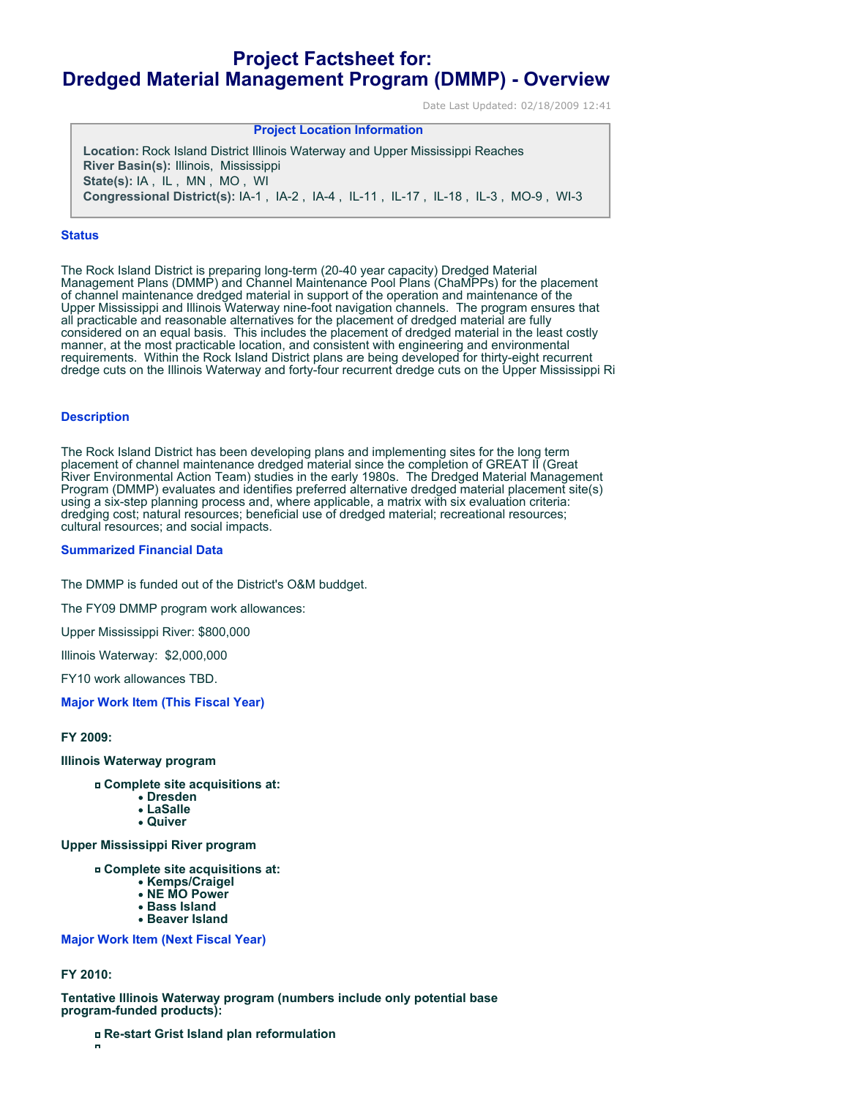# **Project Factsheet for: Dredged Material Management Program (DMMP) - Overview**

**Project Location Information** 

Date Last Updated: 02/18/2009 12:41

| <b>FIVIELL LUCATION INTOITMATION</b>                                                      |
|-------------------------------------------------------------------------------------------|
| Location: Rock Island District Illinois Waterway and Upper Mississippi Reaches            |
| <b>River Basin(s): Illinois, Mississippi</b>                                              |
| State(s): IA, IL, MN, MO, WI                                                              |
| <b>Congressional District(s): IA-1, IA-2, IA-4, IL-11, IL-17, IL-18, IL-3, MO-9, WI-3</b> |

#### **Status**

The Rock Island District is preparing long-term (20-40 year capacity) Dredged Material Management Plans (DMMP) and Channel Maintenance Pool Plans (ChaMPPs) for the placement of channel maintenance dredged material in support of the operation and maintenance of the Upper Mississippi and Illinois Waterway nine-foot navigation channels. The program ensures that all practicable and reasonable alternatives for the placement of dredged material are fully considered on an equal basis. This includes the placement of dredged material in the least costly manner, at the most practicable location, and consistent with engineering and environmental requirements. Within the Rock Island District plans are being developed for thirty-eight recurrent dredge cuts on the Illinois Waterway and forty-four recurrent dredge cuts on the Upper Mississippi Ri

#### **Description**

The Rock Island District has been developing plans and implementing sites for the long term placement of channel maintenance dredged material since the completion of GREAT II (Great River Environmental Action Team) studies in the early 1980s. The Dredged Material Management Program (DMMP) evaluates and identifies preferred alternative dredged material placement site(s) using a six-step planning process and, where applicable, a matrix with six evaluation criteria: dredging cost; natural resources; beneficial use of dredged material; recreational resources; cultural resources; and social impacts.

## **Summarized Financial Data**

The DMMP is funded out of the District's O&M buddget.

The FY09 DMMP program work allowances:

Upper Mississippi River: \$800,000

Illinois Waterway: \$2,000,000

FY10 work allowances TBD.

**Major Work Item (This Fiscal Year)**

**FY 2009:**

**Illinois Waterway program**

**Complete site acquisitions at:**

- **Dresden**
- **LaSalle**

**Quiver**

**Upper Mississippi River program** 

**Complete site acquisitions at:** 

- **Kemps/Craigel**
- **NE MO Power**
- **Bass Island**
- **Beaver Island**

**Major Work Item (Next Fiscal Year)**

# **FY 2010:**

**Tentative Illinois Waterway program (numbers include only potential base program-funded products):**

**Re-start Grist Island plan reformulation**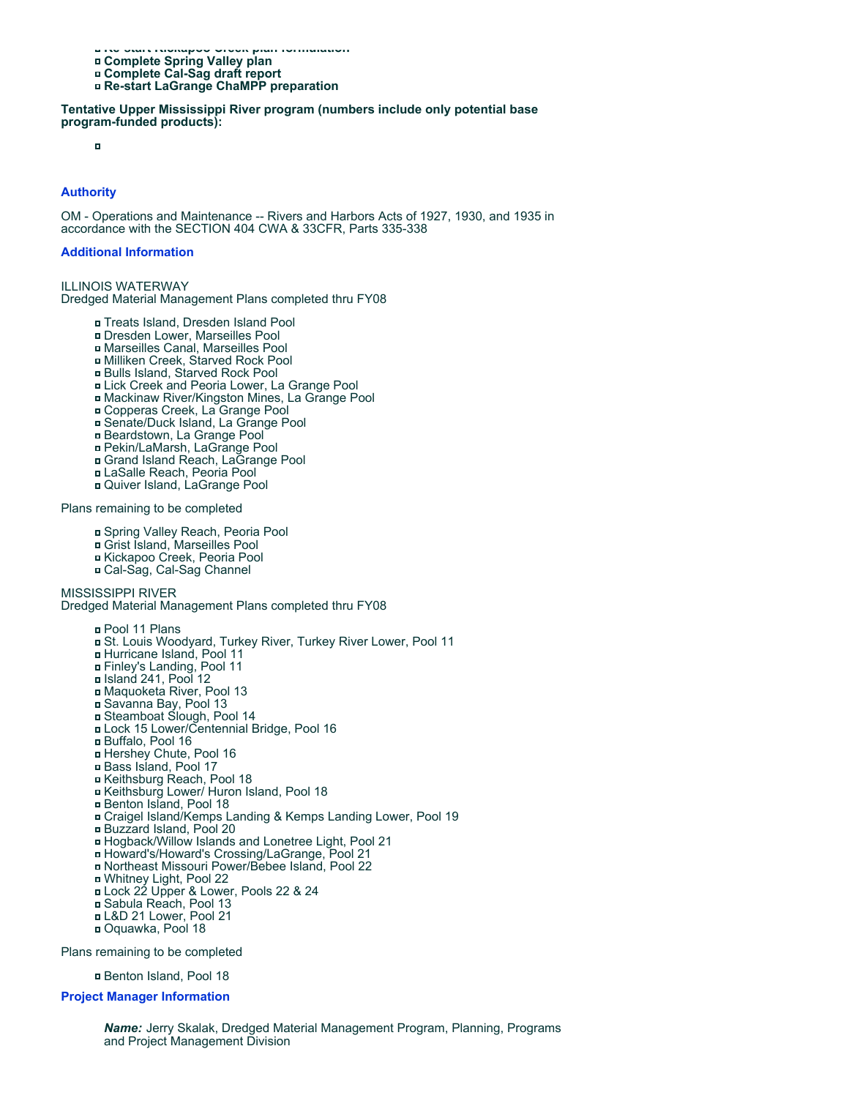**Re-start Kickapoo Creek plan formulation** 

- **Complete Spring Valley plan**
- **Complete Cal-Sag draft report Re-start LaGrange ChaMPP preparation**

**Tentative Upper Mississippi River program (numbers include only potential base program-funded products):** 

 $\blacksquare$ 

# **Authority**

OM - Operations and Maintenance -- Rivers and Harbors Acts of 1927, 1930, and 1935 in accordance with the SECTION 404 CWA & 33CFR, Parts 335-338

### **Additional Information**

ILLINOIS WATERWAY Dredged Material Management Plans completed thru FY08

- Treats Island, Dresden Island Pool
- Dresden Lower, Marseilles Pool
- Marseilles Canal, Marseilles Pool
- Milliken Creek, Starved Rock Pool
- Bulls Island, Starved Rock Pool
- Lick Creek and Peoria Lower, La Grange Pool
- Mackinaw River/Kingston Mines, La Grange Pool
- Copperas Creek, La Grange Pool
- Senate/Duck Island, La Grange Pool
- Beardstown, La Grange Pool
- Pekin/LaMarsh, LaGrange Pool
- Grand Island Reach, LaGrange Pool
- LaSalle Reach, Peoria Pool
- Quiver Island, LaGrange Pool

Plans remaining to be completed

- Spring Valley Reach, Peoria Pool
- Grist Island, Marseilles Pool
- Kickapoo Creek, Peoria Pool
- Cal-Sag, Cal-Sag Channel

MISSISSIPPI RIVER

Dredged Material Management Plans completed thru FY08

- Pool 11 Plans
	- St. Louis Woodyard, Turkey River, Turkey River Lower, Pool 11
	- Hurricane Island, Pool 11
	- Finley's Landing, Pool 11
	- Island 241, Pool 12
	- Maquoketa River, Pool 13
	- Savanna Bay, Pool 13
	- Steamboat Slough, Pool 14
	- Lock 15 Lower/Centennial Bridge, Pool 16
	- Buffalo, Pool 16
	- Hershey Chute, Pool 16
	- Bass Island, Pool 17
	- Keithsburg Reach, Pool 18
	- Keithsburg Lower/ Huron Island, Pool 18
	- Benton Island, Pool 18
	- Craigel Island/Kemps Landing & Kemps Landing Lower, Pool 19
	- Buzzard Island, Pool 20
	- Hogback/Willow Islands and Lonetree Light, Pool 21
	- Howard's/Howard's Crossing/LaGrange, Pool 21
- Northeast Missouri Power/Bebee Island, Pool 22
- Whitney Light, Pool 22
- Lock 22 Upper & Lower, Pools 22 & 24
- Sabula Reach, Pool 13
- L&D 21 Lower, Pool 21
- Oquawka, Pool 18

Plans remaining to be completed

Benton Island, Pool 18

## **Project Manager Information**

*Name:* Jerry Skalak, Dredged Material Management Program, Planning, Programs and Project Management Division